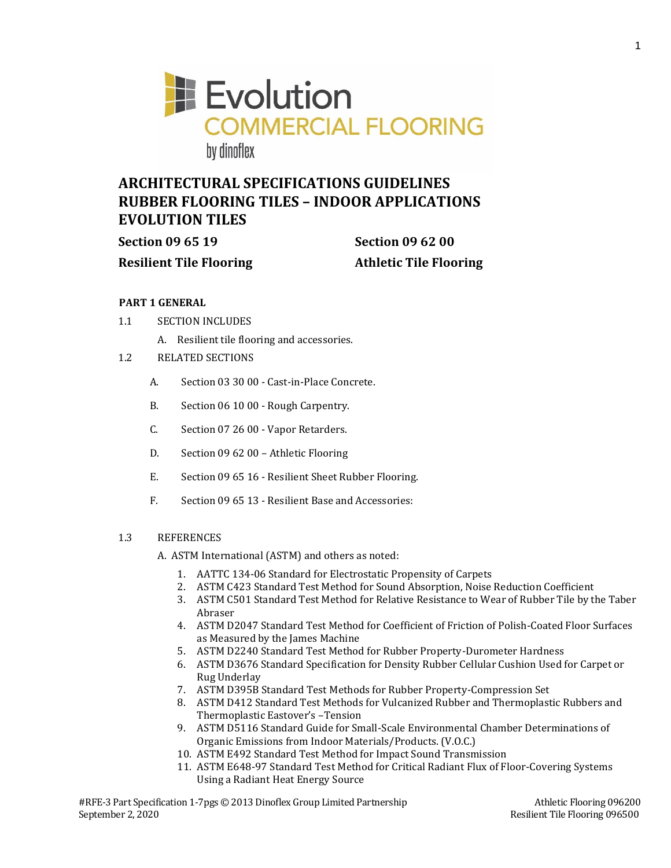

# **ARCHITECTURAL SPECIFICATIONS GUIDELINES RUBBER FLOORING TILES – INDOOR APPLICATIONS EVOLUTION TILES**

**Section 09 65 19 Section 09 62 00**

**Resilient Tile Flooring Athletic Tile Flooring**

# **PART 1 GENERAL**

- 1.1 SECTION INCLUDES
	- A. Resilient tile flooring and accessories.
- 1.2 RELATED SECTIONS
	- A. Section 03 30 00 Cast-in-Place Concrete.
	- B. Section 06 10 00 Rough Carpentry.
	- C. Section 07 26 00 Vapor Retarders.
	- D. Section 09 62 00 Athletic Flooring
	- E. Section 09 65 16 Resilient Sheet Rubber Flooring.
	- F. Section 09 65 13 Resilient Base and Accessories:

# 1.3 REFERENCES

A. ASTM International (ASTM) and others as noted:

- 1. AATTC 134-06 Standard for Electrostatic Propensity of Carpets
- 2. ASTM C423 Standard Test Method for Sound Absorption, Noise Reduction Coefficient
- 3. ASTM C501 Standard Test Method for Relative Resistance to Wear of Rubber Tile by the Taber Abraser
- 4. ASTM D2047 Standard Test Method for Coefficient of Friction of Polish-Coated Floor Surfaces as Measured by the James Machine
- 5. ASTM D2240 Standard Test Method for Rubber Property-Durometer Hardness
- 6. ASTM D3676 Standard Specification for Density Rubber Cellular Cushion Used for Carpet or Rug Underlay
- 7. ASTM D395B Standard Test Methods for Rubber Property-Compression Set
- 8. ASTM D412 Standard Test Methods for Vulcanized Rubber and Thermoplastic Rubbers and Thermoplastic Eastover's –Tension
- 9. ASTM D5116 Standard Guide for Small-Scale Environmental Chamber Determinations of Organic Emissions from Indoor Materials/Products. (V.O.C.)
- 10. ASTM E492 Standard Test Method for Impact Sound Transmission
- 11. ASTM E648-97 Standard Test Method for Critical Radiant Flux of Floor-Covering Systems Using a Radiant Heat Energy Source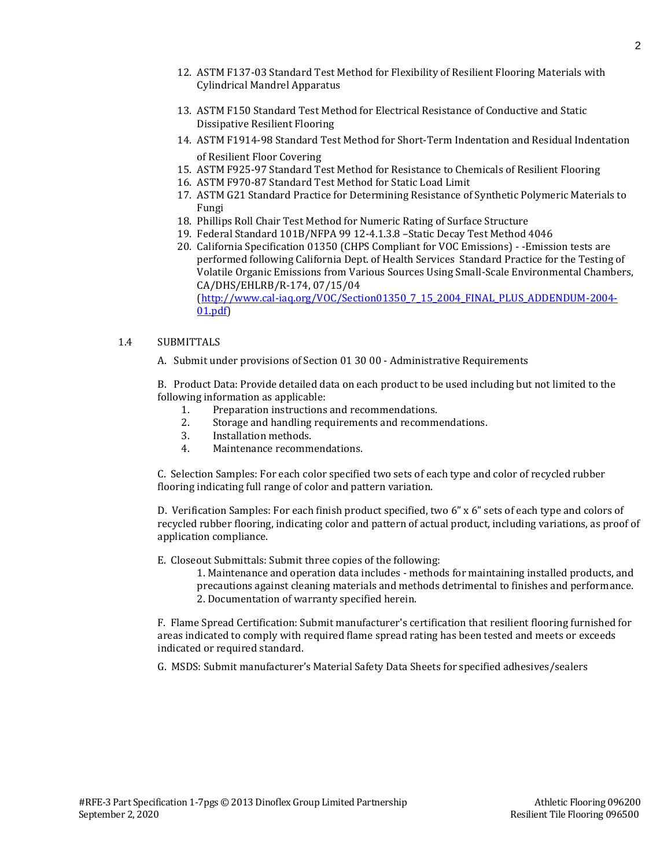- 
- #RFE-3 Part Specification 1-7pgs © 2013 Dinoflex Group Limited Partnership Athletic Flooring 096200 September 2, 2020 Resilient Tile Flooring 096500
	-
- 12. ASTM F137-03 Standard Test Method for Flexibility of Resilient Flooring Materials with Cylindrical Mandrel Apparatus
- 13. ASTM F150 Standard Test Method for Electrical Resistance of Conductive and Static Dissipative Resilient Flooring
- 14. ASTM F1914-98 Standard Test Method for Short-Term Indentation and Residual Indentation of Resilient Floor Covering
- 15. ASTM F925-97 Standard Test Method for Resistance to Chemicals of Resilient Flooring
- 16. ASTM F970-87 Standard Test Method for Static Load Limit
- 17. ASTM G21 Standard Practice for Determining Resistance of Synthetic Polymeric Materials to Fungi
- 18. Phillips Roll Chair Test Method for Numeric Rating of Surface Structure
- 19. Federal Standard 101B/NFPA 99 12-4.1.3.8 –Static Decay Test Method 4046
- 20. California Specification 01350 (CHPS Compliant for VOC Emissions) -Emission tests are performed following California Dept. of Health Services Standard Practice for the Testing of Volatile Organic Emissions from Various Sources Using Small-Scale Environmental Chambers, CA/DHS/EHLRB/R-174, 07/15/04 [\(http://www.cal-iaq.org/VOC/Section01350\\_7\\_15\\_2004\\_FINAL\\_PLUS\\_ADDENDUM-2004-](http://www.cal-iaq.org/VOC/Section01350_7_15_2004_FINAL_PLUS_ADDENDUM-2004-01.pdf)

[01.pdf\)](http://www.cal-iaq.org/VOC/Section01350_7_15_2004_FINAL_PLUS_ADDENDUM-2004-01.pdf)

## 1.4 SUBMITTALS

A. Submit under provisions of Section 01 30 00 - Administrative Requirements

B. Product Data: Provide detailed data on each product to be used including but not limited to the following information as applicable:

- 1. Preparation instructions and recommendations.
- 2. Storage and handling requirements and recommendations.
- 3. Installation methods.
- 4. Maintenance recommendations.

C. Selection Samples: For each color specified two sets of each type and color of recycled rubber flooring indicating full range of color and pattern variation.

D. Verification Samples: For each finish product specified, two 6" x 6" sets of each type and colors of recycled rubber flooring, indicating color and pattern of actual product, including variations, as proof of application compliance.

E. Closeout Submittals: Submit three copies of the following:

1. Maintenance and operation data includes - methods for maintaining installed products, and precautions against cleaning materials and methods detrimental to finishes and performance. 2. Documentation of warranty specified herein.

F. Flame Spread Certification: Submit manufacturer's certification that resilient flooring furnished for areas indicated to comply with required flame spread rating has been tested and meets or exceeds indicated or required standard.

G. MSDS: Submit manufacturer's Material Safety Data Sheets for specified adhesives/sealers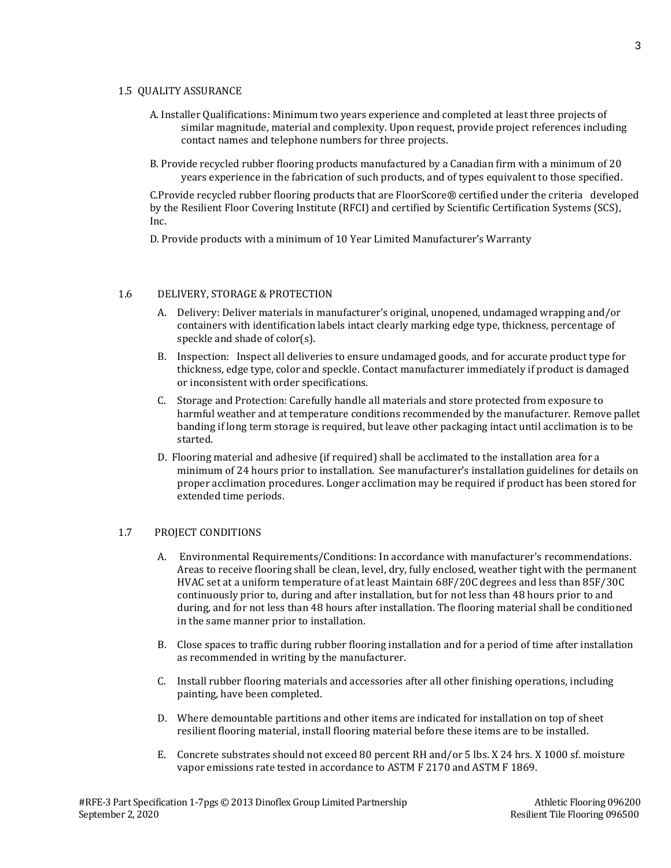## 1.5 QUALITY ASSURANCE

- A. Installer Qualifications: Minimum two years experience and completed at least three projects of similar magnitude, material and complexity. Upon request, provide project references including contact names and telephone numbers for three projects.
- B. Provide recycled rubber flooring products manufactured by a Canadian firm with a minimum of 20 years experience in the fabrication of such products, and of types equivalent to those specified.

C.Provide recycled rubber flooring products that are FloorScore® certified under the criteria developed by the Resilient Floor Covering Institute (RFCI) and certified by Scientific Certification Systems (SCS), Inc.

D. Provide products with a minimum of 10 Year Limited Manufacturer's Warranty

# 1.6 DELIVERY, STORAGE & PROTECTION

- A. Delivery: Deliver materials in manufacturer's original, unopened, undamaged wrapping and/or containers with identification labels intact clearly marking edge type, thickness, percentage of speckle and shade of color(s).
- B. Inspection: Inspect all deliveries to ensure undamaged goods, and for accurate product type for thickness, edge type, color and speckle. Contact manufacturer immediately if product is damaged or inconsistent with order specifications.
- C. Storage and Protection: Carefully handle all materials and store protected from exposure to harmful weather and at temperature conditions recommended by the manufacturer. Remove pallet banding if long term storage is required, but leave other packaging intact until acclimation is to be started.
- D. Flooring material and adhesive (if required) shall be acclimated to the installation area for a minimum of 24 hours prior to installation. See manufacturer's installation guidelines for details on proper acclimation procedures. Longer acclimation may be required if product has been stored for extended time periods.

# 1.7 PROJECT CONDITIONS

- A. Environmental Requirements/Conditions: In accordance with manufacturer's recommendations. Areas to receive flooring shall be clean, level, dry, fully enclosed, weather tight with the permanent HVAC set at a uniform temperature of at least Maintain 68F/20C degrees and less than 85F/30C continuously prior to, during and after installation, but for not less than 48 hours prior to and during, and for not less than 48 hours after installation. The flooring material shall be conditioned in the same manner prior to installation.
- B. Close spaces to traffic during rubber flooring installation and for a period of time after installation as recommended in writing by the manufacturer.
- C. Install rubber flooring materials and accessories after all other finishing operations, including painting, have been completed.
- D. Where demountable partitions and other items are indicated for installation on top of sheet resilient flooring material, install flooring material before these items are to be installed.
- E. Concrete substrates should not exceed 80 percent RH and/or 5 lbs. X 24 hrs. X 1000 sf. moisture vapor emissions rate tested in accordance to ASTM F 2170 and ASTM F 1869.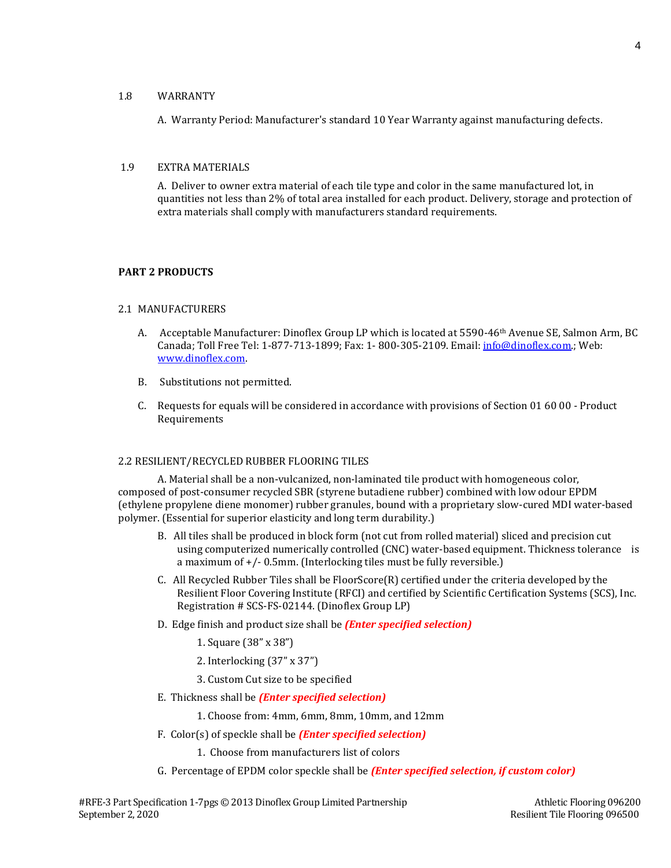## 1.8 WARRANTY

A. Warranty Period: Manufacturer's standard 10 Year Warranty against manufacturing defects.

## 1.9 EXTRA MATERIALS

A. Deliver to owner extra material of each tile type and color in the same manufactured lot, in quantities not less than 2% of total area installed for each product. Delivery, storage and protection of extra materials shall comply with manufacturers standard requirements.

# **PART 2 PRODUCTS**

## 2.1 MANUFACTURERS

- A. Acceptable Manufacturer: Dinoflex Group LP which is located at 5590-46<sup>th</sup> Avenue SE, Salmon Arm, BC Canada; Toll Free Tel: 1-877-713-1899; Fax: 1- 800-305-2109. Email: [info@dinoflex.com.;](mailto:info@dinoflex.com) Web: [www.dinoflex.com.](http://www.dinoflex.com/)
- B. Substitutions not permitted.
- C. Requests for equals will be considered in accordance with provisions of Section 01 60 00 Product Requirements

# 2.2 RESILIENT/RECYCLED RUBBER FLOORING TILES

A. Material shall be a non-vulcanized, non-laminated tile product with homogeneous color, composed of post-consumer recycled SBR (styrene butadiene rubber) combined with low odour EPDM (ethylene propylene diene monomer) rubber granules, bound with a proprietary slow-cured MDI water-based polymer. (Essential for superior elasticity and long term durability.)

- B. All tiles shall be produced in block form (not cut from rolled material) sliced and precision cut using computerized numerically controlled (CNC) water-based equipment. Thickness tolerance is a maximum of +/- 0.5mm. (Interlocking tiles must be fully reversible.)
- C. All Recycled Rubber Tiles shall be FloorScore(R) certified under the criteria developed by the Resilient Floor Covering Institute (RFCI) and certified by Scientific Certification Systems (SCS), Inc. Registration # SCS-FS-02144. (Dinoflex Group LP)
- D. Edge finish and product size shall be *(Enter specified selection)*
	- 1. Square (38" x 38")
	- 2. Interlocking (37" x 37")
	- 3. Custom Cut size to be specified
- E. Thickness shall be *(Enter specified selection)*
	- 1. Choose from: 4mm, 6mm, 8mm, 10mm, and 12mm
- F. Color(s) of speckle shall be *(Enter specified selection)*
	- 1. Choose from manufacturers list of colors
- G. Percentage of EPDM color speckle shall be *(Enter specified selection, if custom color)*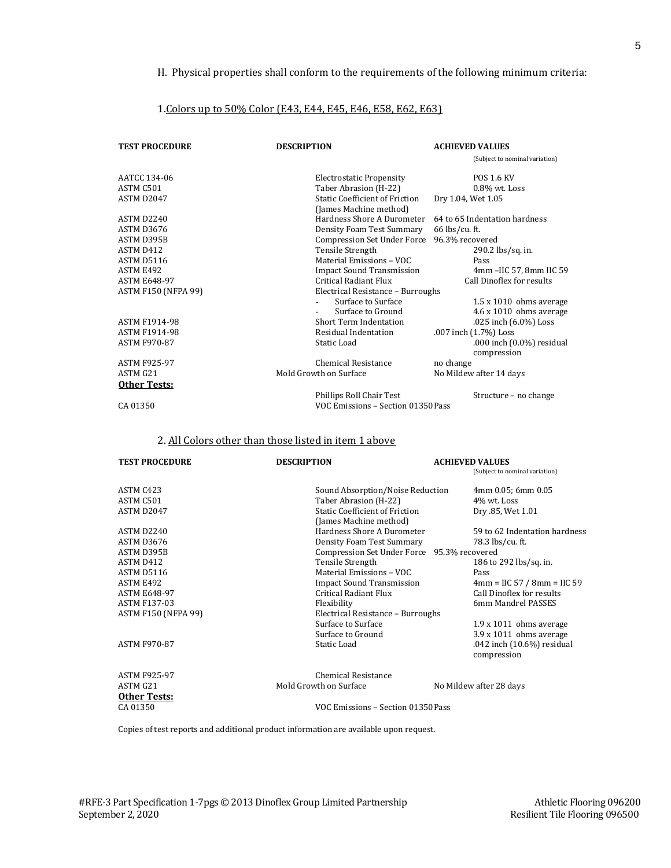# H. Physical properties shall conform to the requirements of the following minimum criteria:

## 1.Colors up to 50% Color (E43, E44, E45, E46, E58, E62, E63)

| <b>TEST PROCEDURE</b>      | <b>DESCRIPTION</b>                                              | <b>ACHIEVED VALUES</b>                   |
|----------------------------|-----------------------------------------------------------------|------------------------------------------|
|                            |                                                                 | (Subject to nominal variation)           |
| AATCC 134-06               | <b>Electrostatic Propensity</b>                                 | <b>POS 1.6 KV</b>                        |
| ASTM C501                  | Taber Abrasion (H-22)                                           | $0.8\%$ wt. Loss                         |
| ASTM D2047                 | <b>Static Coefficient of Friction</b><br>(James Machine method) | Dry 1.04, Wet 1.05                       |
| ASTM D2240                 | Hardness Shore A Durometer                                      | 64 to 65 Indentation hardness            |
| ASTM D3676                 | Density Foam Test Summary                                       | $66$ lbs/cu. ft.                         |
| ASTM D395B                 | Compression Set Under Force 96.3% recovered                     |                                          |
| ASTM D412                  | Tensile Strength                                                | 290.2 lbs/sq. in.                        |
| ASTM D5116                 | Material Emissions - VOC                                        | Pass                                     |
| ASTM E492                  | <b>Impact Sound Transmission</b>                                | 4mm - IIC 57, 8mm IIC 59                 |
| <b>ASTM E648-97</b>        | Critical Radiant Flux                                           | Call Dinoflex for results                |
| <b>ASTM F150 (NFPA 99)</b> | Electrical Resistance - Burroughs                               |                                          |
|                            | Surface to Surface                                              | $1.5 \times 1010$ ohms average           |
|                            | Surface to Ground                                               | 4.6 x 1010 ohms average                  |
| <b>ASTM F1914-98</b>       | Short Term Indentation                                          | .025 inch (6.0%) Loss                    |
| <b>ASTM F1914-98</b>       | Residual Indentation                                            | .007 inch (1.7%) Loss                    |
| <b>ASTM F970-87</b>        | Static Load                                                     | .000 inch (0.0%) residual<br>compression |
| <b>ASTM F925-97</b>        | Chemical Resistance                                             | no change                                |
| ASTM G21                   | Mold Growth on Surface                                          | No Mildew after 14 days                  |
| Other Tests:               |                                                                 |                                          |
|                            | Phillips Roll Chair Test                                        | Structure – no change                    |
| CA 01350                   | VOC Emissions - Section 01350Pass                               |                                          |

# 2. All Colors other than those listed in item 1 above

| <b>TEST PROCEDURE</b>      | <b>DESCRIPTION</b>                          | <b>ACHIEVED VALUES</b>                    |  |
|----------------------------|---------------------------------------------|-------------------------------------------|--|
|                            |                                             | (Subject to nominal variation)            |  |
| ASTM C423                  | Sound Absorption/Noise Reduction            | 4mm 0.05; 6mm 0.05                        |  |
| ASTM C501                  | Taber Abrasion (H-22)                       | $4\%$ wt. Loss                            |  |
| ASTM D2047                 | <b>Static Coefficient of Friction</b>       | Dry .85, Wet 1.01                         |  |
|                            | (James Machine method)                      |                                           |  |
| ASTM D2240                 | Hardness Shore A Durometer                  | 59 to 62 Indentation hardness             |  |
| ASTM D3676                 | Density Foam Test Summary                   | 78.3 lbs/cu. ft.                          |  |
| ASTM D395B                 | Compression Set Under Force 95.3% recovered |                                           |  |
| ASTM D412                  | Tensile Strength                            | 186 to 292 lbs/sq. in.                    |  |
| ASTM D5116                 | Material Emissions - VOC                    | Pass                                      |  |
| ASTM E492                  | <b>Impact Sound Transmission</b>            | $4mm = IIC 57 / 8mm = IIC 59$             |  |
| <b>ASTM E648-97</b>        | Critical Radiant Flux                       | Call Dinoflex for results                 |  |
| <b>ASTM F137-03</b>        | Flexibility                                 | 6mm Mandrel PASSES                        |  |
| <b>ASTM F150 (NFPA 99)</b> |                                             | Electrical Resistance - Burroughs         |  |
|                            | Surface to Surface                          | $1.9 \times 1011$ ohms average            |  |
|                            | Surface to Ground                           | 3.9 x 1011 ohms average                   |  |
| <b>ASTM F970-87</b>        | Static Load                                 | .042 inch (10.6%) residual<br>compression |  |
| <b>ASTM F925-97</b>        | Chemical Resistance                         |                                           |  |
| ASTM G21                   | Mold Growth on Surface                      | No Mildew after 28 days                   |  |
| Other Tests:               |                                             |                                           |  |
| CA 01350                   |                                             | VOC Emissions - Section 01350Pass         |  |

Copies of test reports and additional product information are available upon request.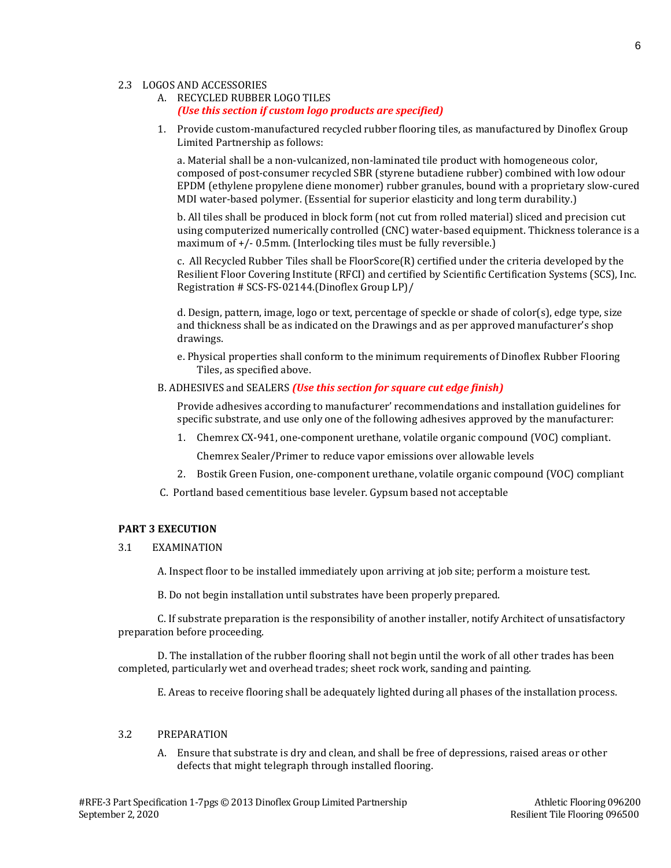#### 2.3 LOGOS AND ACCESSORIES

- A. RECYCLED RUBBER LOGO TILES *(Use this section if custom logo products are specified)*
- 1. Provide custom-manufactured recycled rubber flooring tiles, as manufactured by Dinoflex Group Limited Partnership as follows:

a. Material shall be a non-vulcanized, non-laminated tile product with homogeneous color, composed of post-consumer recycled SBR (styrene butadiene rubber) combined with low odour EPDM (ethylene propylene diene monomer) rubber granules, bound with a proprietary slow-cured MDI water-based polymer. (Essential for superior elasticity and long term durability.)

b. All tiles shall be produced in block form (not cut from rolled material) sliced and precision cut using computerized numerically controlled (CNC) water-based equipment. Thickness tolerance is a maximum of  $+/-$  0.5mm. (Interlocking tiles must be fully reversible.)

c. All Recycled Rubber Tiles shall be FloorScore(R) certified under the criteria developed by the Resilient Floor Covering Institute (RFCI) and certified by Scientific Certification Systems (SCS), Inc. Registration # SCS-FS-02144.(Dinoflex Group LP)/

d. Design, pattern, image, logo or text, percentage of speckle or shade of color(s), edge type, size and thickness shall be as indicated on the Drawings and as per approved manufacturer's shop drawings.

- e. Physical properties shall conform to the minimum requirements of Dinoflex Rubber Flooring Tiles, as specified above.
- B. ADHESIVES and SEALERS *(Use this section for square cut edge finish)*

Provide adhesives according to manufacturer' recommendations and installation guidelines for specific substrate, and use only one of the following adhesives approved by the manufacturer:

- 1. Chemrex CX-941, one-component urethane, volatile organic compound (VOC) compliant. Chemrex Sealer/Primer to reduce vapor emissions over allowable levels
- 2. Bostik Green Fusion, one-component urethane, volatile organic compound (VOC) compliant
- C. Portland based cementitious base leveler. Gypsum based not acceptable

# **PART 3 EXECUTION**

3.1 EXAMINATION

A. Inspect floor to be installed immediately upon arriving at job site; perform a moisture test.

B. Do not begin installation until substrates have been properly prepared.

C. If substrate preparation is the responsibility of another installer, notify Architect of unsatisfactory preparation before proceeding.

D. The installation of the rubber flooring shall not begin until the work of all other trades has been completed, particularly wet and overhead trades; sheet rock work, sanding and painting.

E. Areas to receive flooring shall be adequately lighted during all phases of the installation process.

# 3.2 PREPARATION

A. Ensure that substrate is dry and clean, and shall be free of depressions, raised areas or other defects that might telegraph through installed flooring.